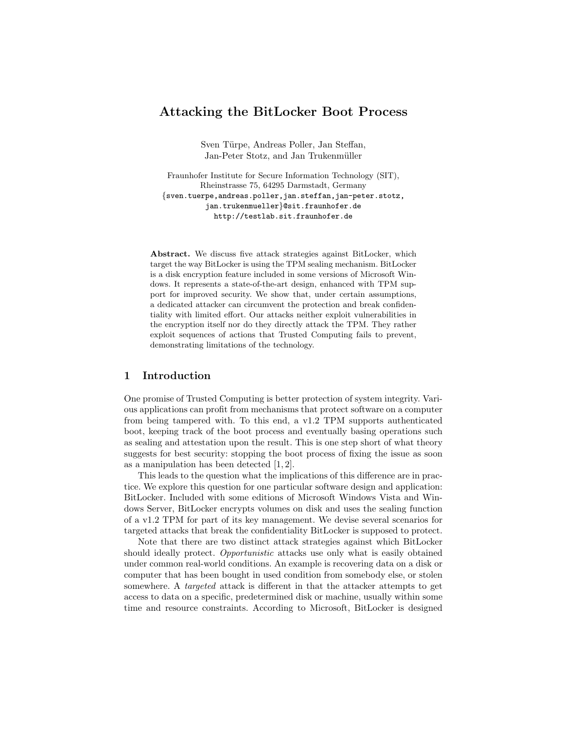# Attacking the BitLocker Boot Process

Sven Türpe, Andreas Poller, Jan Steffan, Jan-Peter Stotz, and Jan Trukenmüller

Fraunhofer Institute for Secure Information Technology (SIT), Rheinstrasse 75, 64295 Darmstadt, Germany {sven.tuerpe,andreas.poller,jan.steffan,jan-peter.stotz, jan.trukenmueller}@sit.fraunhofer.de http://testlab.sit.fraunhofer.de

Abstract. We discuss five attack strategies against BitLocker, which target the way BitLocker is using the TPM sealing mechanism. BitLocker is a disk encryption feature included in some versions of Microsoft Windows. It represents a state-of-the-art design, enhanced with TPM support for improved security. We show that, under certain assumptions, a dedicated attacker can circumvent the protection and break confidentiality with limited effort. Our attacks neither exploit vulnerabilities in the encryption itself nor do they directly attack the TPM. They rather exploit sequences of actions that Trusted Computing fails to prevent, demonstrating limitations of the technology.

# 1 Introduction

One promise of Trusted Computing is better protection of system integrity. Various applications can profit from mechanisms that protect software on a computer from being tampered with. To this end, a v1.2 TPM supports authenticated boot, keeping track of the boot process and eventually basing operations such as sealing and attestation upon the result. This is one step short of what theory suggests for best security: stopping the boot process of fixing the issue as soon as a manipulation has been detected [1, 2].

This leads to the question what the implications of this difference are in practice. We explore this question for one particular software design and application: BitLocker. Included with some editions of Microsoft Windows Vista and Windows Server, BitLocker encrypts volumes on disk and uses the sealing function of a v1.2 TPM for part of its key management. We devise several scenarios for targeted attacks that break the confidentiality BitLocker is supposed to protect.

Note that there are two distinct attack strategies against which BitLocker should ideally protect. Opportunistic attacks use only what is easily obtained under common real-world conditions. An example is recovering data on a disk or computer that has been bought in used condition from somebody else, or stolen somewhere. A *targeted* attack is different in that the attacker attempts to get access to data on a specific, predetermined disk or machine, usually within some time and resource constraints. According to Microsoft, BitLocker is designed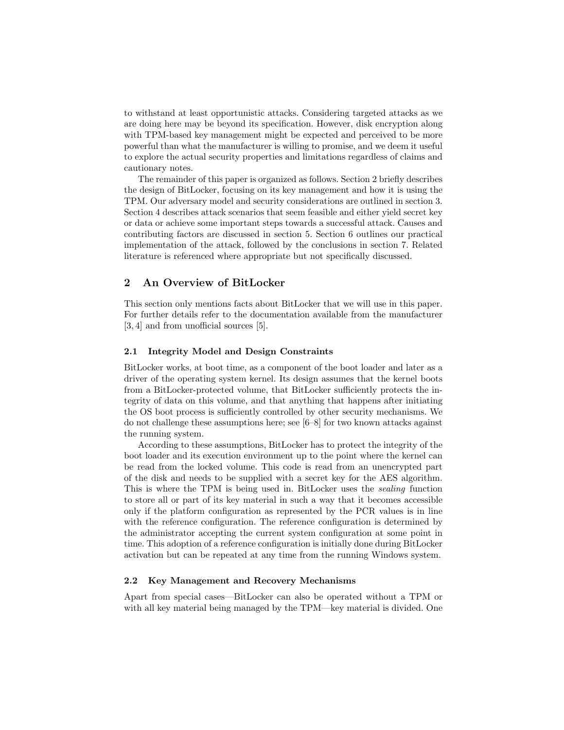to withstand at least opportunistic attacks. Considering targeted attacks as we are doing here may be beyond its specification. However, disk encryption along with TPM-based key management might be expected and perceived to be more powerful than what the manufacturer is willing to promise, and we deem it useful to explore the actual security properties and limitations regardless of claims and cautionary notes.

The remainder of this paper is organized as follows. Section 2 briefly describes the design of BitLocker, focusing on its key management and how it is using the TPM. Our adversary model and security considerations are outlined in section 3. Section 4 describes attack scenarios that seem feasible and either yield secret key or data or achieve some important steps towards a successful attack. Causes and contributing factors are discussed in section 5. Section 6 outlines our practical implementation of the attack, followed by the conclusions in section 7. Related literature is referenced where appropriate but not specifically discussed.

# 2 An Overview of BitLocker

This section only mentions facts about BitLocker that we will use in this paper. For further details refer to the documentation available from the manufacturer [3, 4] and from unofficial sources [5].

#### 2.1 Integrity Model and Design Constraints

BitLocker works, at boot time, as a component of the boot loader and later as a driver of the operating system kernel. Its design assumes that the kernel boots from a BitLocker-protected volume, that BitLocker sufficiently protects the integrity of data on this volume, and that anything that happens after initiating the OS boot process is sufficiently controlled by other security mechanisms. We do not challenge these assumptions here; see [6–8] for two known attacks against the running system.

According to these assumptions, BitLocker has to protect the integrity of the boot loader and its execution environment up to the point where the kernel can be read from the locked volume. This code is read from an unencrypted part of the disk and needs to be supplied with a secret key for the AES algorithm. This is where the TPM is being used in. BitLocker uses the sealing function to store all or part of its key material in such a way that it becomes accessible only if the platform configuration as represented by the PCR values is in line with the reference configuration. The reference configuration is determined by the administrator accepting the current system configuration at some point in time. This adoption of a reference configuration is initially done during BitLocker activation but can be repeated at any time from the running Windows system.

# 2.2 Key Management and Recovery Mechanisms

Apart from special cases—BitLocker can also be operated without a TPM or with all key material being managed by the TPM—key material is divided. One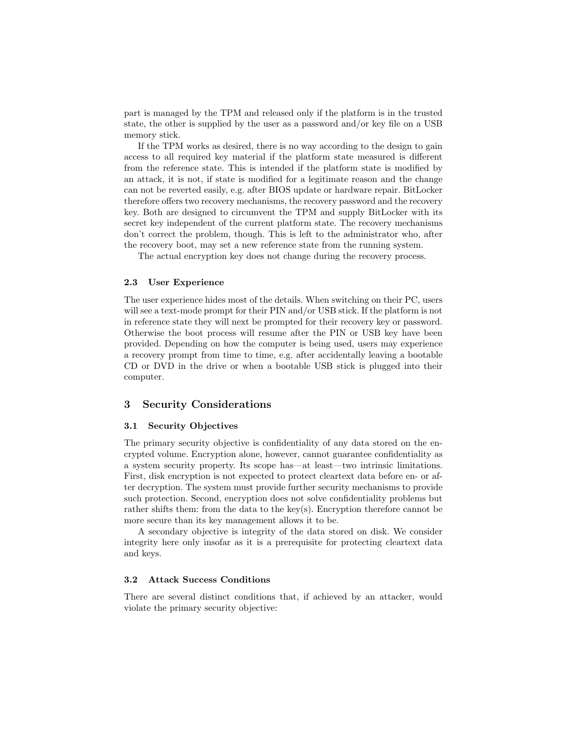part is managed by the TPM and released only if the platform is in the trusted state, the other is supplied by the user as a password and/or key file on a USB memory stick.

If the TPM works as desired, there is no way according to the design to gain access to all required key material if the platform state measured is different from the reference state. This is intended if the platform state is modified by an attack, it is not, if state is modified for a legitimate reason and the change can not be reverted easily, e.g. after BIOS update or hardware repair. BitLocker therefore offers two recovery mechanisms, the recovery password and the recovery key. Both are designed to circumvent the TPM and supply BitLocker with its secret key independent of the current platform state. The recovery mechanisms don't correct the problem, though. This is left to the administrator who, after the recovery boot, may set a new reference state from the running system.

The actual encryption key does not change during the recovery process.

#### 2.3 User Experience

The user experience hides most of the details. When switching on their PC, users will see a text-mode prompt for their PIN and/or USB stick. If the platform is not in reference state they will next be prompted for their recovery key or password. Otherwise the boot process will resume after the PIN or USB key have been provided. Depending on how the computer is being used, users may experience a recovery prompt from time to time, e.g. after accidentally leaving a bootable CD or DVD in the drive or when a bootable USB stick is plugged into their computer.

## 3 Security Considerations

#### 3.1 Security Objectives

The primary security objective is confidentiality of any data stored on the encrypted volume. Encryption alone, however, cannot guarantee confidentiality as a system security property. Its scope has—at least—two intrinsic limitations. First, disk encryption is not expected to protect cleartext data before en- or after decryption. The system must provide further security mechanisms to provide such protection. Second, encryption does not solve confidentiality problems but rather shifts them: from the data to the key(s). Encryption therefore cannot be more secure than its key management allows it to be.

A secondary objective is integrity of the data stored on disk. We consider integrity here only insofar as it is a prerequisite for protecting cleartext data and keys.

#### 3.2 Attack Success Conditions

There are several distinct conditions that, if achieved by an attacker, would violate the primary security objective: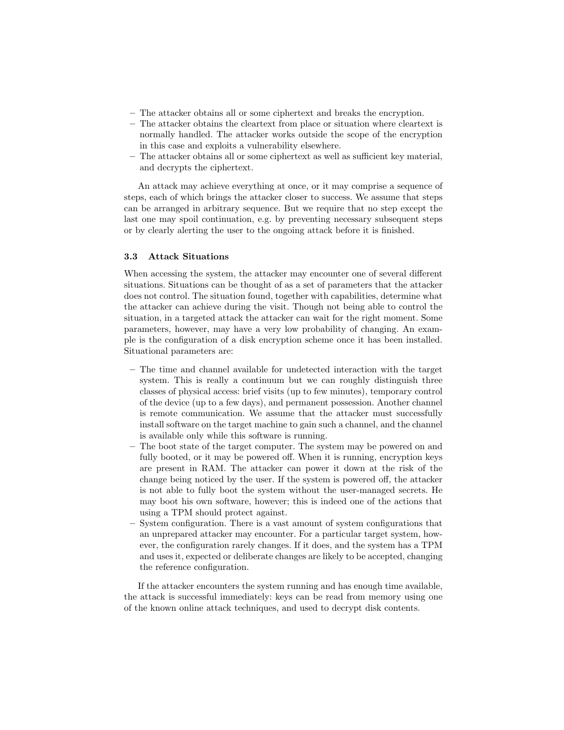- The attacker obtains all or some ciphertext and breaks the encryption.
- The attacker obtains the cleartext from place or situation where cleartext is normally handled. The attacker works outside the scope of the encryption in this case and exploits a vulnerability elsewhere.
- The attacker obtains all or some ciphertext as well as sufficient key material, and decrypts the ciphertext.

An attack may achieve everything at once, or it may comprise a sequence of steps, each of which brings the attacker closer to success. We assume that steps can be arranged in arbitrary sequence. But we require that no step except the last one may spoil continuation, e.g. by preventing necessary subsequent steps or by clearly alerting the user to the ongoing attack before it is finished.

#### 3.3 Attack Situations

When accessing the system, the attacker may encounter one of several different situations. Situations can be thought of as a set of parameters that the attacker does not control. The situation found, together with capabilities, determine what the attacker can achieve during the visit. Though not being able to control the situation, in a targeted attack the attacker can wait for the right moment. Some parameters, however, may have a very low probability of changing. An example is the configuration of a disk encryption scheme once it has been installed. Situational parameters are:

- The time and channel available for undetected interaction with the target system. This is really a continuum but we can roughly distinguish three classes of physical access: brief visits (up to few minutes), temporary control of the device (up to a few days), and permanent possession. Another channel is remote communication. We assume that the attacker must successfully install software on the target machine to gain such a channel, and the channel is available only while this software is running.
- The boot state of the target computer. The system may be powered on and fully booted, or it may be powered off. When it is running, encryption keys are present in RAM. The attacker can power it down at the risk of the change being noticed by the user. If the system is powered off, the attacker is not able to fully boot the system without the user-managed secrets. He may boot his own software, however; this is indeed one of the actions that using a TPM should protect against.
- System configuration. There is a vast amount of system configurations that an unprepared attacker may encounter. For a particular target system, however, the configuration rarely changes. If it does, and the system has a TPM and uses it, expected or deliberate changes are likely to be accepted, changing the reference configuration.

If the attacker encounters the system running and has enough time available, the attack is successful immediately: keys can be read from memory using one of the known online attack techniques, and used to decrypt disk contents.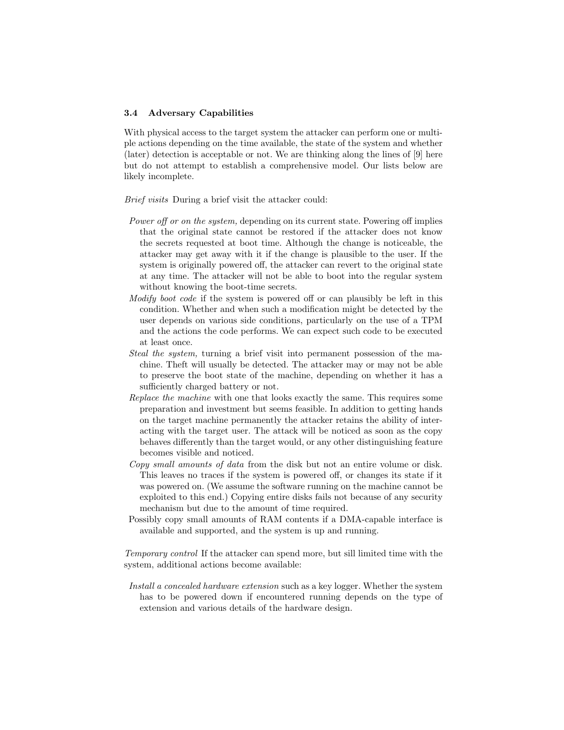#### 3.4 Adversary Capabilities

With physical access to the target system the attacker can perform one or multiple actions depending on the time available, the state of the system and whether (later) detection is acceptable or not. We are thinking along the lines of [9] here but do not attempt to establish a comprehensive model. Our lists below are likely incomplete.

Brief visits During a brief visit the attacker could:

- Power off or on the system, depending on its current state. Powering off implies that the original state cannot be restored if the attacker does not know the secrets requested at boot time. Although the change is noticeable, the attacker may get away with it if the change is plausible to the user. If the system is originally powered off, the attacker can revert to the original state at any time. The attacker will not be able to boot into the regular system without knowing the boot-time secrets.
- Modify boot code if the system is powered off or can plausibly be left in this condition. Whether and when such a modification might be detected by the user depends on various side conditions, particularly on the use of a TPM and the actions the code performs. We can expect such code to be executed at least once.
- Steal the system, turning a brief visit into permanent possession of the machine. Theft will usually be detected. The attacker may or may not be able to preserve the boot state of the machine, depending on whether it has a sufficiently charged battery or not.
- Replace the machine with one that looks exactly the same. This requires some preparation and investment but seems feasible. In addition to getting hands on the target machine permanently the attacker retains the ability of interacting with the target user. The attack will be noticed as soon as the copy behaves differently than the target would, or any other distinguishing feature becomes visible and noticed.
- Copy small amounts of data from the disk but not an entire volume or disk. This leaves no traces if the system is powered off, or changes its state if it was powered on. (We assume the software running on the machine cannot be exploited to this end.) Copying entire disks fails not because of any security mechanism but due to the amount of time required.
- Possibly copy small amounts of RAM contents if a DMA-capable interface is available and supported, and the system is up and running.

Temporary control If the attacker can spend more, but sill limited time with the system, additional actions become available:

Install a concealed hardware extension such as a key logger. Whether the system has to be powered down if encountered running depends on the type of extension and various details of the hardware design.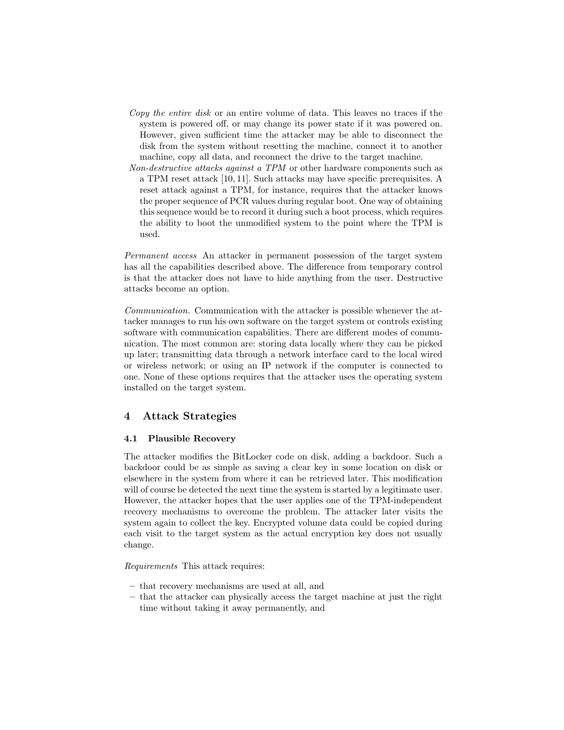- Copy the entire disk or an entire volume of data. This leaves no traces if the system is powered off, or may change its power state if it was powered on. However, given sufficient time the attacker may be able to disconnect the disk from the system without resetting the machine, connect it to another machine, copy all data, and reconnect the drive to the target machine.
- Non-destructive attacks against a TPM or other hardware components such as a TPM reset attack [10, 11]. Such attacks may have specific prerequisites. A reset attack against a TPM, for instance, requires that the attacker knows the proper sequence of PCR values during regular boot. One way of obtaining this sequence would be to record it during such a boot process, which requires the ability to boot the unmodified system to the point where the TPM is used.

Permanent access An attacker in permanent possession of the target system has all the capabilities described above. The difference from temporary control is that the attacker does not have to hide anything from the user. Destructive attacks become an option.

Communication. Communication with the attacker is possible whenever the attacker manages to run his own software on the target system or controls existing software with communication capabilities. There are different modes of communication. The most common are: storing data locally where they can be picked up later; transmitting data through a network interface card to the local wired or wireless network; or using an IP network if the computer is connected to one. None of these options requires that the attacker uses the operating system installed on the target system.

# 4 Attack Strategies

### 4.1 Plausible Recovery

The attacker modifies the BitLocker code on disk, adding a backdoor. Such a backdoor could be as simple as saving a clear key in some location on disk or elsewhere in the system from where it can be retrieved later. This modification will of course be detected the next time the system is started by a legitimate user. However, the attacker hopes that the user applies one of the TPM-independent recovery mechanisms to overcome the problem. The attacker later visits the system again to collect the key. Encrypted volume data could be copied during each visit to the target system as the actual encryption key does not usually change.

### Requirements This attack requires:

- that recovery mechanisms are used at all, and
- that the attacker can physically access the target machine at just the right time without taking it away permanently, and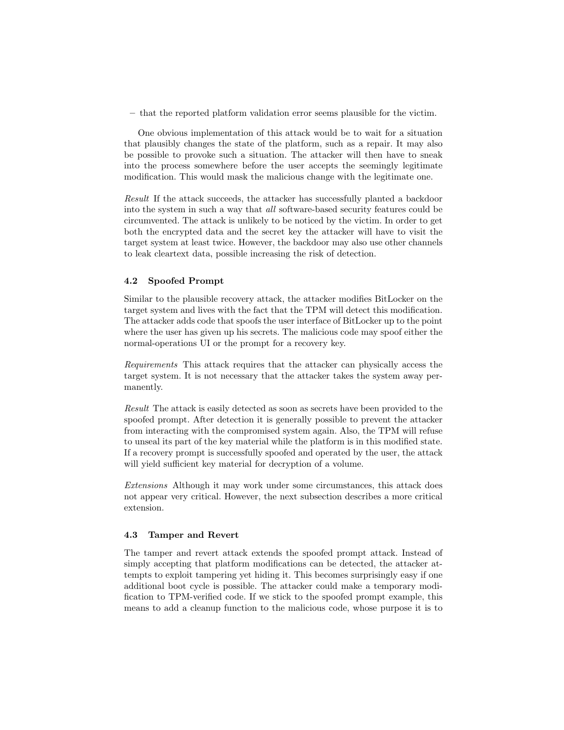– that the reported platform validation error seems plausible for the victim.

One obvious implementation of this attack would be to wait for a situation that plausibly changes the state of the platform, such as a repair. It may also be possible to provoke such a situation. The attacker will then have to sneak into the process somewhere before the user accepts the seemingly legitimate modification. This would mask the malicious change with the legitimate one.

Result If the attack succeeds, the attacker has successfully planted a backdoor into the system in such a way that all software-based security features could be circumvented. The attack is unlikely to be noticed by the victim. In order to get both the encrypted data and the secret key the attacker will have to visit the target system at least twice. However, the backdoor may also use other channels to leak cleartext data, possible increasing the risk of detection.

### 4.2 Spoofed Prompt

Similar to the plausible recovery attack, the attacker modifies BitLocker on the target system and lives with the fact that the TPM will detect this modification. The attacker adds code that spoofs the user interface of BitLocker up to the point where the user has given up his secrets. The malicious code may spoof either the normal-operations UI or the prompt for a recovery key.

Requirements This attack requires that the attacker can physically access the target system. It is not necessary that the attacker takes the system away permanently.

Result The attack is easily detected as soon as secrets have been provided to the spoofed prompt. After detection it is generally possible to prevent the attacker from interacting with the compromised system again. Also, the TPM will refuse to unseal its part of the key material while the platform is in this modified state. If a recovery prompt is successfully spoofed and operated by the user, the attack will yield sufficient key material for decryption of a volume.

Extensions Although it may work under some circumstances, this attack does not appear very critical. However, the next subsection describes a more critical extension.

#### 4.3 Tamper and Revert

The tamper and revert attack extends the spoofed prompt attack. Instead of simply accepting that platform modifications can be detected, the attacker attempts to exploit tampering yet hiding it. This becomes surprisingly easy if one additional boot cycle is possible. The attacker could make a temporary modification to TPM-verified code. If we stick to the spoofed prompt example, this means to add a cleanup function to the malicious code, whose purpose it is to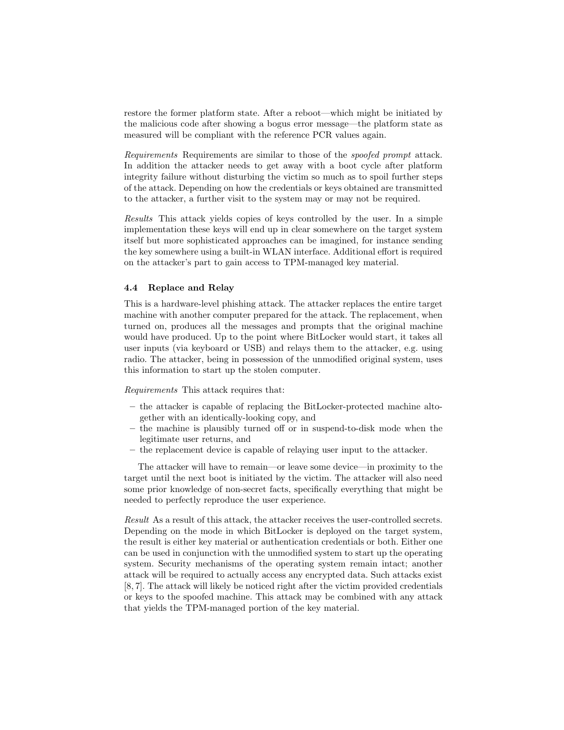restore the former platform state. After a reboot—which might be initiated by the malicious code after showing a bogus error message—the platform state as measured will be compliant with the reference PCR values again.

Requirements Requirements are similar to those of the spoofed prompt attack. In addition the attacker needs to get away with a boot cycle after platform integrity failure without disturbing the victim so much as to spoil further steps of the attack. Depending on how the credentials or keys obtained are transmitted to the attacker, a further visit to the system may or may not be required.

Results This attack yields copies of keys controlled by the user. In a simple implementation these keys will end up in clear somewhere on the target system itself but more sophisticated approaches can be imagined, for instance sending the key somewhere using a built-in WLAN interface. Additional effort is required on the attacker's part to gain access to TPM-managed key material.

### 4.4 Replace and Relay

This is a hardware-level phishing attack. The attacker replaces the entire target machine with another computer prepared for the attack. The replacement, when turned on, produces all the messages and prompts that the original machine would have produced. Up to the point where BitLocker would start, it takes all user inputs (via keyboard or USB) and relays them to the attacker, e.g. using radio. The attacker, being in possession of the unmodified original system, uses this information to start up the stolen computer.

Requirements This attack requires that:

- the attacker is capable of replacing the BitLocker-protected machine altogether with an identically-looking copy, and
- the machine is plausibly turned off or in suspend-to-disk mode when the legitimate user returns, and
- the replacement device is capable of relaying user input to the attacker.

The attacker will have to remain—or leave some device—in proximity to the target until the next boot is initiated by the victim. The attacker will also need some prior knowledge of non-secret facts, specifically everything that might be needed to perfectly reproduce the user experience.

Result As a result of this attack, the attacker receives the user-controlled secrets. Depending on the mode in which BitLocker is deployed on the target system, the result is either key material or authentication credentials or both. Either one can be used in conjunction with the unmodified system to start up the operating system. Security mechanisms of the operating system remain intact; another attack will be required to actually access any encrypted data. Such attacks exist [8, 7]. The attack will likely be noticed right after the victim provided credentials or keys to the spoofed machine. This attack may be combined with any attack that yields the TPM-managed portion of the key material.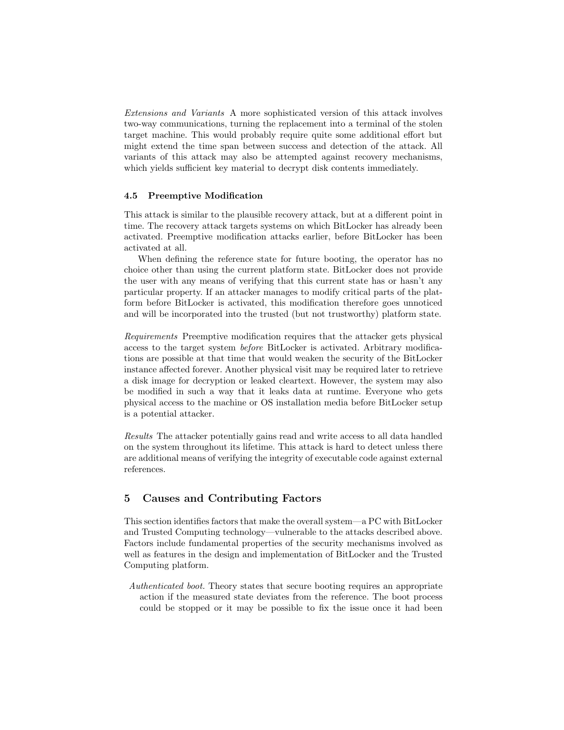Extensions and Variants A more sophisticated version of this attack involves two-way communications, turning the replacement into a terminal of the stolen target machine. This would probably require quite some additional effort but might extend the time span between success and detection of the attack. All variants of this attack may also be attempted against recovery mechanisms, which yields sufficient key material to decrypt disk contents immediately.

#### 4.5 Preemptive Modification

This attack is similar to the plausible recovery attack, but at a different point in time. The recovery attack targets systems on which BitLocker has already been activated. Preemptive modification attacks earlier, before BitLocker has been activated at all.

When defining the reference state for future booting, the operator has no choice other than using the current platform state. BitLocker does not provide the user with any means of verifying that this current state has or hasn't any particular property. If an attacker manages to modify critical parts of the platform before BitLocker is activated, this modification therefore goes unnoticed and will be incorporated into the trusted (but not trustworthy) platform state.

Requirements Preemptive modification requires that the attacker gets physical access to the target system before BitLocker is activated. Arbitrary modifications are possible at that time that would weaken the security of the BitLocker instance affected forever. Another physical visit may be required later to retrieve a disk image for decryption or leaked cleartext. However, the system may also be modified in such a way that it leaks data at runtime. Everyone who gets physical access to the machine or OS installation media before BitLocker setup is a potential attacker.

Results The attacker potentially gains read and write access to all data handled on the system throughout its lifetime. This attack is hard to detect unless there are additional means of verifying the integrity of executable code against external references.

# 5 Causes and Contributing Factors

This section identifies factors that make the overall system—a PC with BitLocker and Trusted Computing technology—vulnerable to the attacks described above. Factors include fundamental properties of the security mechanisms involved as well as features in the design and implementation of BitLocker and the Trusted Computing platform.

Authenticated boot. Theory states that secure booting requires an appropriate action if the measured state deviates from the reference. The boot process could be stopped or it may be possible to fix the issue once it had been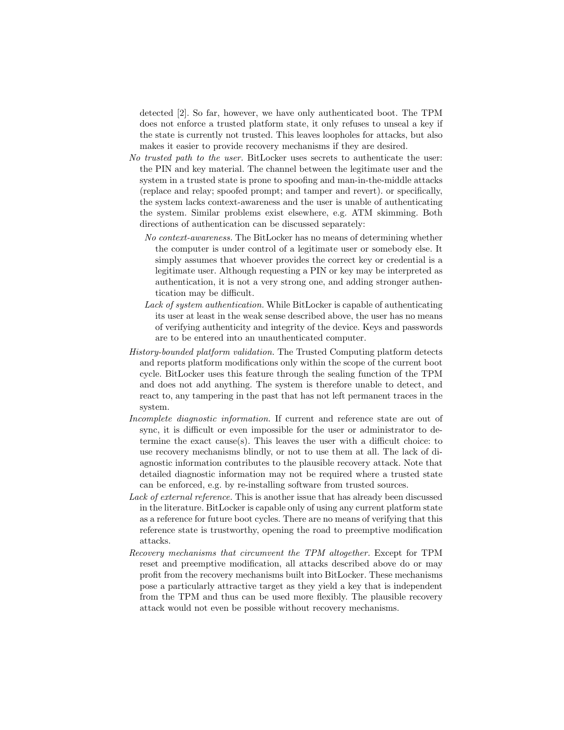detected [2]. So far, however, we have only authenticated boot. The TPM does not enforce a trusted platform state, it only refuses to unseal a key if the state is currently not trusted. This leaves loopholes for attacks, but also makes it easier to provide recovery mechanisms if they are desired.

- No trusted path to the user. BitLocker uses secrets to authenticate the user: the PIN and key material. The channel between the legitimate user and the system in a trusted state is prone to spoofing and man-in-the-middle attacks (replace and relay; spoofed prompt; and tamper and revert). or specifically, the system lacks context-awareness and the user is unable of authenticating the system. Similar problems exist elsewhere, e.g. ATM skimming. Both directions of authentication can be discussed separately:
	- No context-awareness. The BitLocker has no means of determining whether the computer is under control of a legitimate user or somebody else. It simply assumes that whoever provides the correct key or credential is a legitimate user. Although requesting a PIN or key may be interpreted as authentication, it is not a very strong one, and adding stronger authentication may be difficult.
	- Lack of system authentication. While BitLocker is capable of authenticating its user at least in the weak sense described above, the user has no means of verifying authenticity and integrity of the device. Keys and passwords are to be entered into an unauthenticated computer.
- History-bounded platform validation. The Trusted Computing platform detects and reports platform modifications only within the scope of the current boot cycle. BitLocker uses this feature through the sealing function of the TPM and does not add anything. The system is therefore unable to detect, and react to, any tampering in the past that has not left permanent traces in the system.
- Incomplete diagnostic information. If current and reference state are out of sync, it is difficult or even impossible for the user or administrator to determine the exact cause(s). This leaves the user with a difficult choice: to use recovery mechanisms blindly, or not to use them at all. The lack of diagnostic information contributes to the plausible recovery attack. Note that detailed diagnostic information may not be required where a trusted state can be enforced, e.g. by re-installing software from trusted sources.
- Lack of external reference. This is another issue that has already been discussed in the literature. BitLocker is capable only of using any current platform state as a reference for future boot cycles. There are no means of verifying that this reference state is trustworthy, opening the road to preemptive modification attacks.
- Recovery mechanisms that circumvent the TPM altogether. Except for TPM reset and preemptive modification, all attacks described above do or may profit from the recovery mechanisms built into BitLocker. These mechanisms pose a particularly attractive target as they yield a key that is independent from the TPM and thus can be used more flexibly. The plausible recovery attack would not even be possible without recovery mechanisms.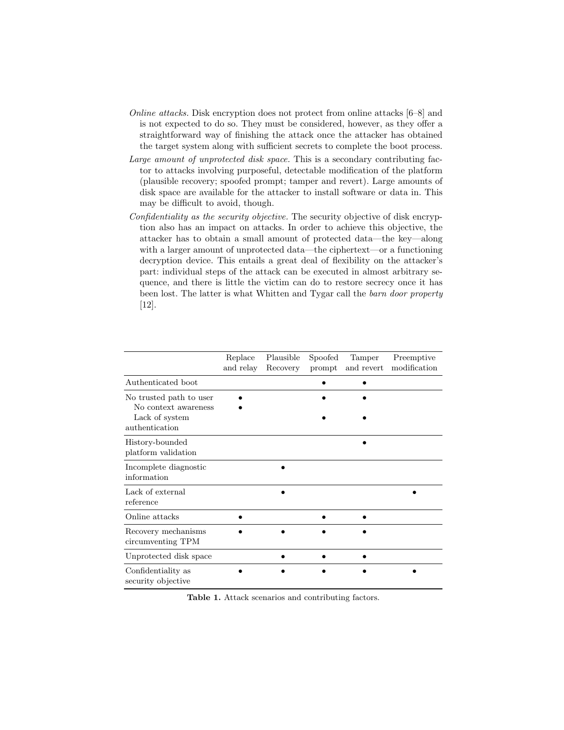- Online attacks. Disk encryption does not protect from online attacks [6–8] and is not expected to do so. They must be considered, however, as they offer a straightforward way of finishing the attack once the attacker has obtained the target system along with sufficient secrets to complete the boot process.
- Large amount of unprotected disk space. This is a secondary contributing factor to attacks involving purposeful, detectable modification of the platform (plausible recovery; spoofed prompt; tamper and revert). Large amounts of disk space are available for the attacker to install software or data in. This may be difficult to avoid, though.
- Confidentiality as the security objective. The security objective of disk encryption also has an impact on attacks. In order to achieve this objective, the attacker has to obtain a small amount of protected data—the key—along with a larger amount of unprotected data—the ciphertext—or a functioning decryption device. This entails a great deal of flexibility on the attacker's part: individual steps of the attack can be executed in almost arbitrary sequence, and there is little the victim can do to restore secrecy once it has been lost. The latter is what Whitten and Tygar call the barn door property [12].

|                                                 | Replace<br>and relay | Plausible<br>Recovery | Spoofed<br>prompt | Tamper<br>and revert | Preemptive<br>modification |
|-------------------------------------------------|----------------------|-----------------------|-------------------|----------------------|----------------------------|
| Authenticated boot                              |                      |                       |                   |                      |                            |
| No trusted path to user<br>No context awareness |                      |                       |                   |                      |                            |
| Lack of system<br>authentication                |                      |                       |                   |                      |                            |
| History-bounded<br>platform validation          |                      |                       |                   |                      |                            |
| Incomplete diagnostic<br>information            |                      |                       |                   |                      |                            |
| Lack of external<br>reference                   |                      |                       |                   |                      |                            |
| Online attacks                                  |                      |                       |                   |                      |                            |
| Recovery mechanisms<br>circumventing TPM        |                      |                       |                   |                      |                            |
| Unprotected disk space                          |                      |                       |                   |                      |                            |
| Confidentiality as<br>security objective        |                      |                       |                   |                      |                            |

Table 1. Attack scenarios and contributing factors.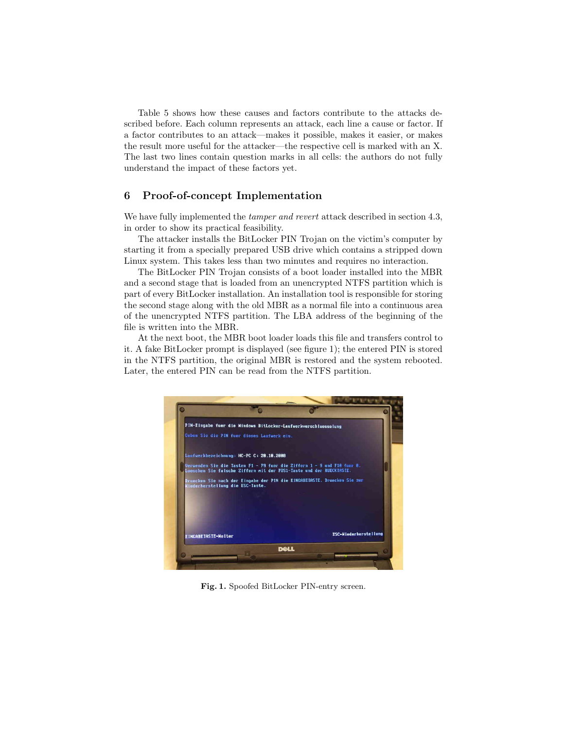Table 5 shows how these causes and factors contribute to the attacks described before. Each column represents an attack, each line a cause or factor. If a factor contributes to an attack—makes it possible, makes it easier, or makes the result more useful for the attacker—the respective cell is marked with an X. The last two lines contain question marks in all cells: the authors do not fully understand the impact of these factors yet.

# 6 Proof-of-concept Implementation

We have fully implemented the *tamper and revert* attack described in section 4.3, in order to show its practical feasibility.

The attacker installs the BitLocker PIN Trojan on the victim's computer by starting it from a specially prepared USB drive which contains a stripped down Linux system. This takes less than two minutes and requires no interaction.

The BitLocker PIN Trojan consists of a boot loader installed into the MBR and a second stage that is loaded from an unencrypted NTFS partition which is part of every BitLocker installation. An installation tool is responsible for storing the second stage along with the old MBR as a normal file into a continuous area of the unencrypted NTFS partition. The LBA address of the beginning of the file is written into the MBR.

At the next boot, the MBR boot loader loads this file and transfers control to it. A fake BitLocker prompt is displayed (see figure 1); the entered PIN is stored in the NTFS partition, the original MBR is restored and the system rebooted. Later, the entered PIN can be read from the NTFS partition.



Fig. 1. Spoofed BitLocker PIN-entry screen.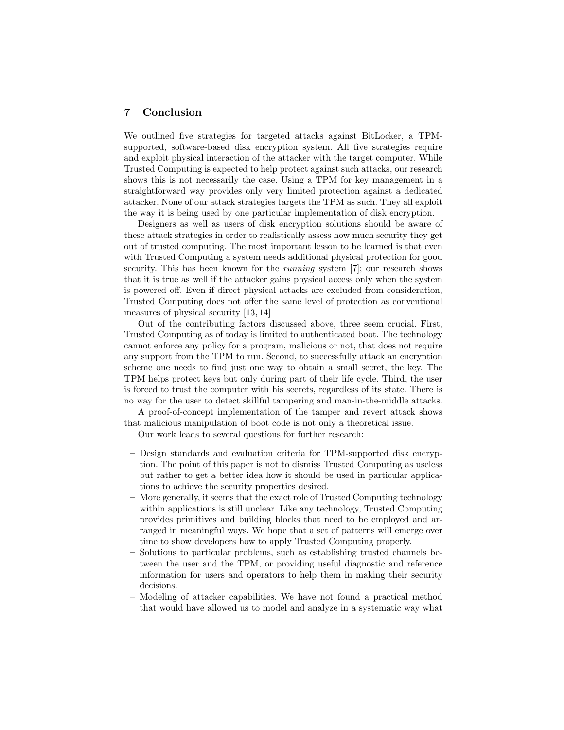# 7 Conclusion

We outlined five strategies for targeted attacks against BitLocker, a TPMsupported, software-based disk encryption system. All five strategies require and exploit physical interaction of the attacker with the target computer. While Trusted Computing is expected to help protect against such attacks, our research shows this is not necessarily the case. Using a TPM for key management in a straightforward way provides only very limited protection against a dedicated attacker. None of our attack strategies targets the TPM as such. They all exploit the way it is being used by one particular implementation of disk encryption.

Designers as well as users of disk encryption solutions should be aware of these attack strategies in order to realistically assess how much security they get out of trusted computing. The most important lesson to be learned is that even with Trusted Computing a system needs additional physical protection for good security. This has been known for the *running* system [7]; our research shows that it is true as well if the attacker gains physical access only when the system is powered off. Even if direct physical attacks are excluded from consideration, Trusted Computing does not offer the same level of protection as conventional measures of physical security [13, 14]

Out of the contributing factors discussed above, three seem crucial. First, Trusted Computing as of today is limited to authenticated boot. The technology cannot enforce any policy for a program, malicious or not, that does not require any support from the TPM to run. Second, to successfully attack an encryption scheme one needs to find just one way to obtain a small secret, the key. The TPM helps protect keys but only during part of their life cycle. Third, the user is forced to trust the computer with his secrets, regardless of its state. There is no way for the user to detect skillful tampering and man-in-the-middle attacks.

A proof-of-concept implementation of the tamper and revert attack shows that malicious manipulation of boot code is not only a theoretical issue.

Our work leads to several questions for further research:

- Design standards and evaluation criteria for TPM-supported disk encryption. The point of this paper is not to dismiss Trusted Computing as useless but rather to get a better idea how it should be used in particular applications to achieve the security properties desired.
- More generally, it seems that the exact role of Trusted Computing technology within applications is still unclear. Like any technology, Trusted Computing provides primitives and building blocks that need to be employed and arranged in meaningful ways. We hope that a set of patterns will emerge over time to show developers how to apply Trusted Computing properly.
- Solutions to particular problems, such as establishing trusted channels between the user and the TPM, or providing useful diagnostic and reference information for users and operators to help them in making their security decisions.
- Modeling of attacker capabilities. We have not found a practical method that would have allowed us to model and analyze in a systematic way what